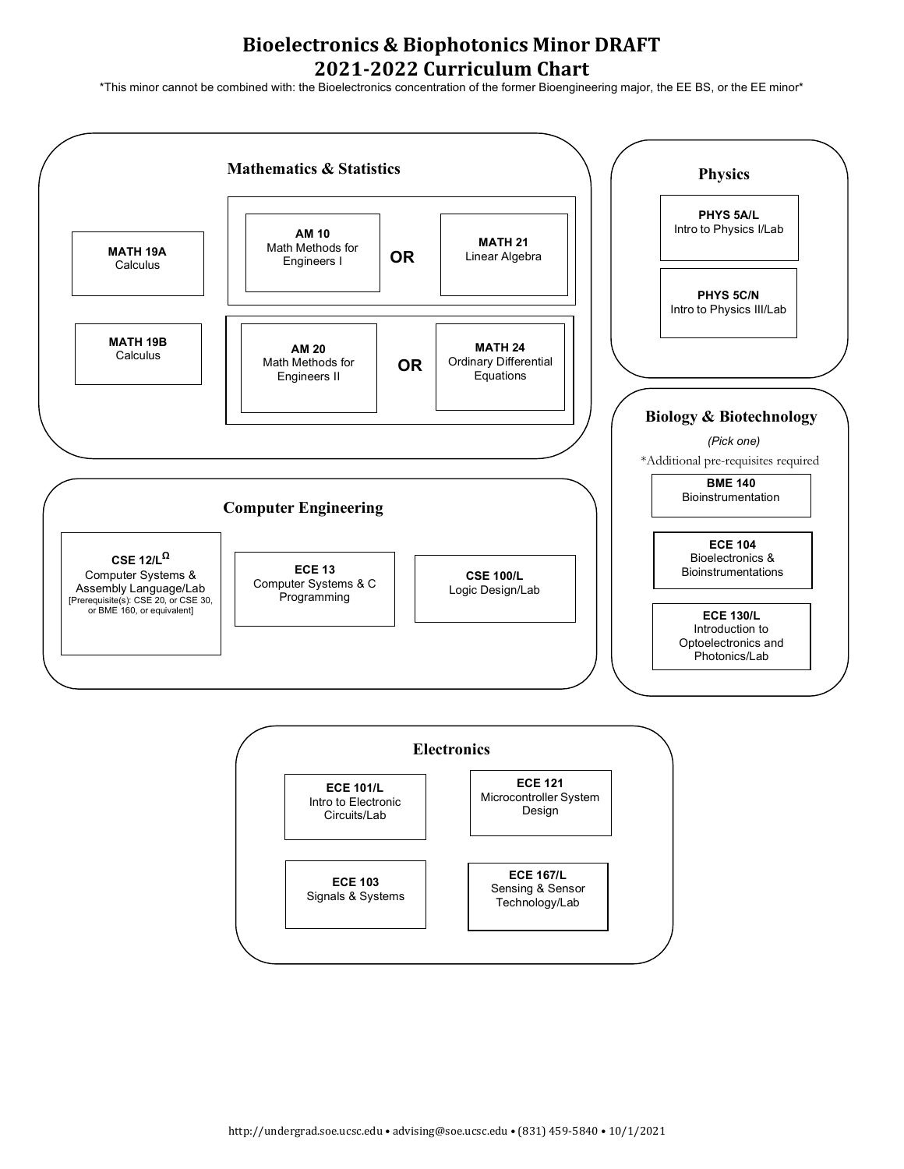## **Bioelectronics & Biophotonics Minor DRAFT 2021-2022 Curriculum Chart**

\*This minor cannot be combined with: the Bioelectronics concentration of the former Bioengineering major, the EE BS, or the EE minor\*